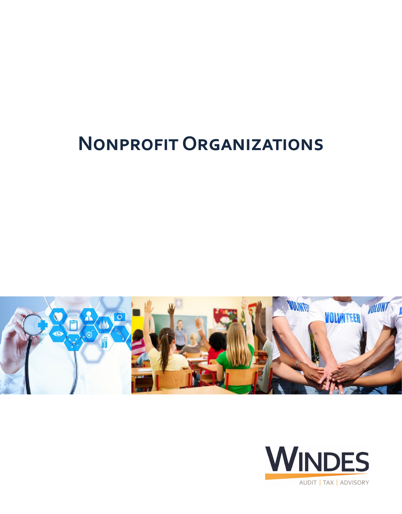# **Nonprofit Organizations**



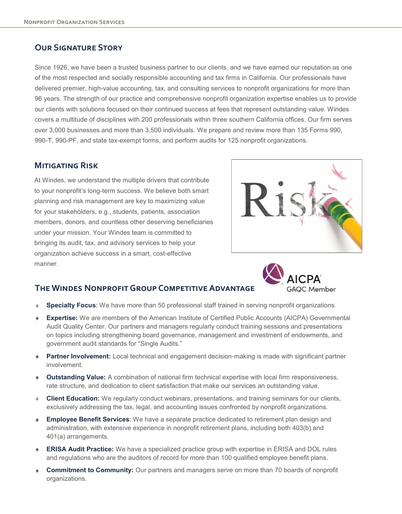# **Our Signature Story**

Since 1926, we have been a trusted business partner to our clients, and we have earned our reputation as one of the most respected and socially responsible accounting and tax firms in California. Our professionals have delivered premier, high-value accounting, tax, and consulting services to nonprofit organizations for more than 96 years. The strength of our practice and comprehensive nonprofit organization expertise enables us to provide our clients with solutions focused on their continued success at fees that represent outstanding value. Windes covers a multitude of disciplines with 200 professionals within three southern California offices. Our firm serves over 3,000 businesses and more than 3,500 individuals. We prepare and review more than 135 Forms 990, 990-T, 990-PF, and state tax-exempt forms, and perform audits for 125 nonprofit organizations.

## **Mitigating Risk**

At Windes, we understand the multiple drivers that contribute to your nonprofit's long-term success. We believe both smart planning and risk management are key to maximizing value for your stakeholders, e.g., students, patients, association members, donors, and countless other deserving beneficiaries under your mission. Your Windes team is committed to bringing its audit, tax, and advisory services to help your organization achieve success in a smart, cost-effective manner.



**GAOC Member** 

# **The Windes Nonprofit Group Competitive Advantage**

- **Specialty Focus**: We have more than 50 professional staff trained in serving nonprofit organizations.
- **Expertise:** We are members of the American Institute of Certified Public Accounts (AICPA) Governmental Audit Quality Center. Our partners and managers regularly conduct training sessions and presentations on topics including strengthening board governance, management and investment of endowments, and government audit standards for "Single Audits."
- **Partner Involvement:** Local technical and engagement decision-making is made with significant partner involvement.
- **Outstanding Value:** A combination of national firm technical expertise with local firm responsiveness, rate structure, and dedication to client satisfaction that make our services an outstanding value.
- **Client Education:** We regularly conduct webinars, presentations, and training seminars for our clients,  $\triangle$ exclusively addressing the tax, legal, and accounting issues confronted by nonprofit organizations.
- **Employee Benefit Services**: We have a separate practice dedicated to retirement plan design and administration, with extensive experience in nonprofit retirement plans, including both 403(b) and 401(a) arrangements.
- **ERISA Audit Practice:** We have a specialized practice group with expertise in ERISA and DOL rules and regulations who are the auditors of record for more than 100 qualified employee benefit plans.
- **Commitment to Community:** Our partners and managers serve on more than 70 boards of nonprofit organizations.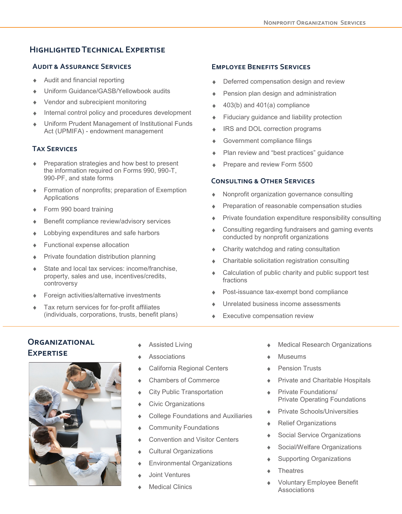# **Highlighted Technical Expertise**

#### **Audit & Assurance Services**

- Audit and financial reporting
- Uniform Guidance/GASB/Yellowbook audits
- Vendor and subrecipient monitoring
- Internal control policy and procedures development
- Uniform Prudent Management of Institutional Funds Act (UPMIFA) - endowment management

## **Tax Services**

- Preparation strategies and how best to present the information required on Forms 990, 990-T, 990-PF, and state forms
- Formation of nonprofits; preparation of Exemption **Applications**
- ◆ Form 990 board training
- Benefit compliance review/advisory services
- Lobbying expenditures and safe harbors
- Functional expense allocation
- Private foundation distribution planning
- State and local tax services: income/franchise, property, sales and use, incentives/credits, controversy
- Foreign activities/alternative investments
- Tax return services for for-profit affiliates (individuals, corporations, trusts, benefit plans)

#### **Employee Benefits Services**

- Deferred compensation design and review
- Pension plan design and administration
- 403(b) and 401(a) compliance
- Fiduciary guidance and liability protection
- IRS and DOL correction programs  $\bullet$
- Government compliance filings  $\bullet$
- Plan review and "best practices" guidance
- Prepare and review Form 5500

#### **Consulting & Other Services**

- Nonprofit organization governance consulting
- Ä Preparation of reasonable compensation studies
- Private foundation expenditure responsibility consulting  $\bullet$
- Consulting regarding fundraisers and gaming events  $\ddot{\bullet}$ conducted by nonprofit organizations
- Charity watchdog and rating consultation  $\triangle$
- Charitable solicitation registration consulting
- Calculation of public charity and public support test  $\bullet$ fractions
- Post-issuance tax-exempt bond compliance  $\bullet$
- Unrelated business income assessments
- Executive compensation review

# **Organizational Expertise**



- Assisted Living
- Associations
- California Regional Centers
- Chambers of Commerce
- City Public Transportation
- Civic Organizations
- College Foundations and Auxiliaries
- Community Foundations
- Convention and Visitor Centers
- Cultural Organizations  $\ddot{\bullet}$
- Environmental Organizations
- Joint Ventures
- Medical Clinics
- Medical Research Organizations
- Museums
- Pension Trusts
- Private and Charitable Hospitals
- Private Foundations/ Private Operating Foundations
- Private Schools/Universities
- $\bullet$ Relief Organizations
- Social Service Organizations  $\ddot{\bullet}$
- Social/Welfare Organizations  $\ddot{\bullet}$
- Supporting Organizations
- **Theatres**
- Voluntary Employee Benefit Associations